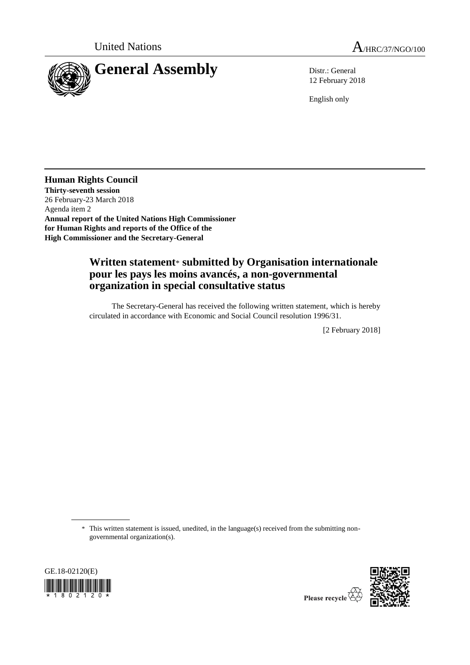



12 February 2018

English only

**Human Rights Council Thirty-seventh session** 26 February-23 March 2018 Agenda item 2 **Annual report of the United Nations High Commissioner for Human Rights and reports of the Office of the High Commissioner and the Secretary-General**

## **Written statement**\* **submitted by Organisation internationale pour les pays les moins avancés, a non-governmental organization in special consultative status**

The Secretary-General has received the following written statement, which is hereby circulated in accordance with Economic and Social Council resolution 1996/31.

[2 February 2018]

\* This written statement is issued, unedited, in the language(s) received from the submitting nongovernmental organization(s).



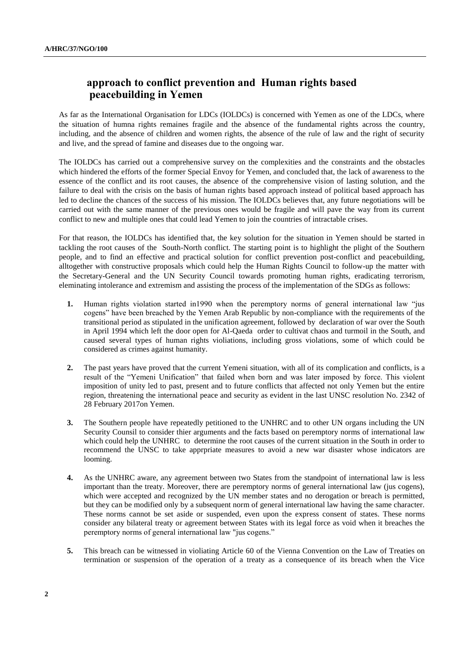## approach to conflict prevention and Human rights based peacebuilding in Yemen

As far as the International Organisation for LDCs (IOLDCs) is concerned with Yemen as one of the LDCs, where the situation of humna rights remaines fragile and the absence of the fundamental rights across the country, including, and the absence of children and women rights, the absence of the rule of law and the right of security and live, and the spread of famine and diseases due to the ongoing war.

The IOLDCs has carried out a comprehensive survey on the complexities and the constraints and the obstacles which hindered the efforts of the former Special Envoy for Yemen, and concluded that, the lack of awareness to the essence of the conflict and its root causes, the absence of the comprehensive vision of lasting solution, and the failure to deal with the crisis on the basis of human rights based approach instead of political based approach has led to decline the chances of the success of his mission. The IOLDCs believes that, any future negotiations will be carried out with the same manner of the previous ones would be fragile and will pave the way from its current conflict to new and multiple ones that could lead Yemen to join the countries of intractable crises.

For that reason, the IOLDCs has identified that, the key solution for the situation in Yemen should be started in tackling the root causes of the South-North conflict. The starting point is to highlight the plight of the Southern people, and to find an effective and practical solution for conflict prevention post-conflict and peacebuilding, alltogether with constructive proposals which could help the Human Rights Council to follow-up the matter with the Secretary-General and the UN Security Council towards promoting human rights, eradicating terrorism, eleminating intolerance and extremism and assisting the process of the implementation of the SDGs as follows:

- **1.** Human rights violation started in1990 when the peremptory norms of general international law "jus cogens" have been breached by the Yemen Arab Republic by non-compliance with the requirements of the transitional period as stipulated in the unification agreement, followed by declaration of war over the South in April 1994 which left the door open for Al-Qaeda order to cultivat chaos and turmoil in the South, and caused several types of human rights violiations, including gross violations, some of which could be considered as crimes against humanity.
- **2.** The past years have proved that the current Yemeni situation, with all of its complication and conflicts, is a result of the "Yemeni Unification" that failed when born and was later imposed by force. This violent imposition of unity led to past, present and to future conflicts that affected not only Yemen but the entire region, threatening the international peace and security as evident in the last UNSC resolution No. 2342 of 28 February 2017on Yemen.
- **3.** The Southern people have repeatedly petitioned to the UNHRC and to other UN organs including the UN Security Counsil to consider thier arguments and the facts based on peremptory norms of international law which could help the UNHRC to determine the root causes of the current situation in the South in order to recommend the UNSC to take apprpriate measures to avoid a new war disaster whose indicators are looming.
- **4.** As the UNHRC aware, any agreement between two States from the standpoint of international law is less important than the treaty. Moreover, there are peremptory norms of general international law (jus cogens), which were accepted and recognized by the UN member states and no derogation or breach is permitted, but they can be modified only by a subsequent norm of general international law having the same character. These norms cannot be set aside or suspended, even upon the express consent of states. These norms consider any bilateral treaty or agreement between States with its legal force as void when it breaches the peremptory norms of general international law "jus cogens."
- **5.** This breach can be witnessed in violiating Article 60 of the Vienna Convention on the Law of Treaties on termination or suspension of the operation of a treaty as a consequence of its breach when the Vice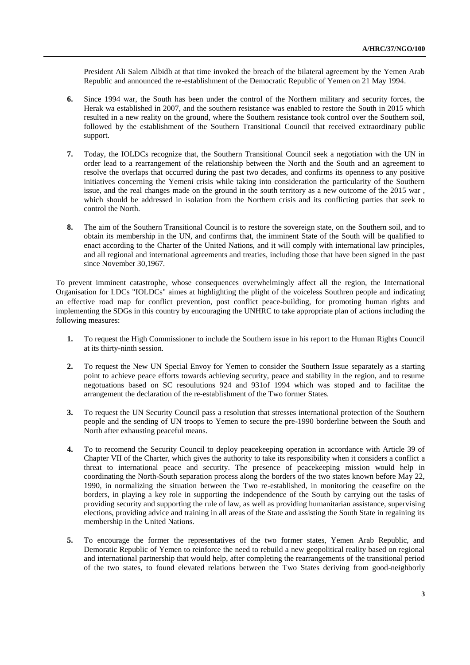President Ali Salem Albidh at that time invoked the breach of the bilateral agreement by the Yemen Arab Republic and announced the re-establishment of the Democratic Republic of Yemen on 21 May 1994.

- **6.** Since 1994 war, the South has been under the control of the Northern military and security forces, the Herak wa established in 2007, and the southern resistance was enabled to restore the South in 2015 which resulted in a new reality on the ground, where the Southern resistance took control over the Southern soil, followed by the establishment of the Southern Transitional Council that received extraordinary public support.
- **7.** Today, the IOLDCs recognize that, the Southern Transitional Council seek a negotiation with the UN in order lead to a rearrangement of the relationship between the North and the South and an agreement to resolve the overlaps that occurred during the past two decades, and confirms its openness to any positive initiatives concerning the Yemeni crisis while taking into consideration the particularity of the Southern issue, and the real changes made on the ground in the south territory as a new outcome of the 2015 war , which should be addressed in isolation from the Northern crisis and its conflicting parties that seek to control the North.
- **8.** The aim of the Southern Transitional Council is to restore the sovereign state, on the Southern soil, and to obtain its membership in the UN, and confirms that, the imminent State of the South will be qualified to enact according to the Charter of the United Nations, and it will comply with international law principles, and all regional and international agreements and treaties, including those that have been signed in the past since November 30,1967.

To prevent imminent catastrophe, whose consequences overwhelmingly affect all the region, the International Organisation for LDCs "IOLDCs" aimes at highlighting the plight of the voiceless Southren people and indicating an effective road map for conflict prevention, post conflict peace-building, for promoting human rights and implementing the SDGs in this country by encouraging the UNHRC to take appropriate plan of actions including the following measures:

- **1.** To request the High Commissioner to include the Southern issue in his report to the Human Rights Council at its thirty-ninth session.
- **2.** To request the New UN Special Envoy for Yemen to consider the Southern Issue separately as a starting point to achieve peace efforts towards achieving security, peace and stability in the region, and to resume negotuations based on SC resoulutions 924 and 931of 1994 which was stoped and to facilitae the arrangement the declaration of the re-establishment of the Two former States.
- **3.** To request the UN Security Council pass a resolution that stresses international protection of the Southern people and the sending of UN troops to Yemen to secure the pre-1990 borderline between the South and North after exhausting peaceful means.
- **4.** To to recomend the Security Council to deploy peacekeeping operation in accordance with Article 39 of Chapter VII of the Charter, which gives the authority to take its responsibility when it considers a conflict a threat to international peace and security. The presence of peacekeeping mission would help in coordinating the North-South separation process along the borders of the two states known before May 22, 1990, in normalizing the situation between the Two re-established, in monitoring the ceasefire on the borders, in playing a key role in supporting the independence of the South by carrying out the tasks of providing security and supporting the rule of law, as well as providing humanitarian assistance, supervising elections, providing advice and training in all areas of the State and assisting the South State in regaining its membership in the United Nations.
- **5.** To encourage the former the representatives of the two former states, Yemen Arab Republic, and Demoratic Republic of Yemen to reinforce the need to rebuild a new geopolitical reality based on regional and international partnership that would help, after completing the rearrangements of the transitional period of the two states, to found elevated relations between the Two States deriving from good-neighborly